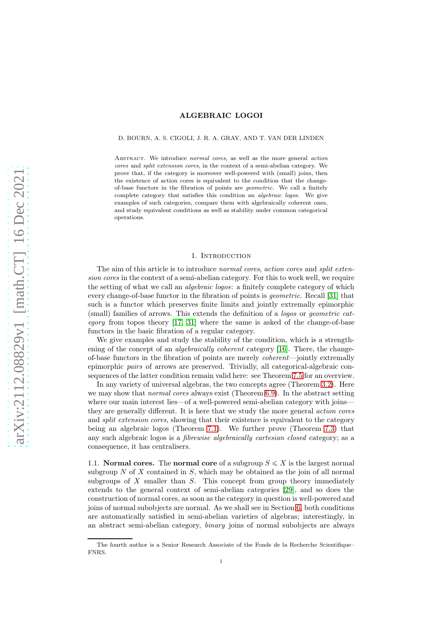## D. BOURN, A. S. CIGOLI, J. R. A. GRAY, AND T. VAN DER LINDEN

ABSTRACT. We introduce normal cores, as well as the more general action cores and split extension cores, in the context of a semi-abelian category. We prove that, if the category is moreover well-powered with (small) joins, then the existence of action cores is equivalent to the condition that the changeof-base functors in the fibration of points are geometric. We call a finitely complete category that satisfies this condition an algebraic logos. We give examples of such categories, compare them with algebraically coherent ones, and study equivalent conditions as well as stability under common categorical operations.

### 1. INTRODUCTION

The aim of this article is to introduce normal cores, action cores and split extension cores in the context of a semi-abelian category. For this to work well, we require the setting of what we call an algebraic logos: a finitely complete category of which every change-of-base functor in the fibration of points is geometric. Recall [\[31\]](#page-16-0) that such is a functor which preserves finite limits and jointly extremally epimorphic (small) families of arrows. This extends the definition of a logos or geometric cat*egory* from topos theory  $[17, 31]$  $[17, 31]$  where the same is asked of the change-of-base functors in the basic fibration of a regular category.

We give examples and study the stability of the condition, which is a strengthening of the concept of an *algebraically coherent* category [\[16\]](#page-15-1). There, the changeof-base functors in the fibration of points are merely coherent—jointly extremally epimorphic pairs of arrows are preserved. Trivially, all categorical-algebraic consequences of the latter condition remain valid here: see Theorem [7.5](#page-13-0) for an overview.

In any variety of universal algebras, the two concepts agree (Theorem [3.2\)](#page-4-0). Here we may show that *normal cores* always exist (Theorem [6.9\)](#page-10-0). In the abstract setting where our main interest lies—of a well-powered semi-abelian category with joinsthey are generally different. It is here that we study the more general action cores and *split extension cores*, showing that their existence is equivalent to the category being an algebraic logos (Theorem [7.1\)](#page-11-0). We further prove (Theorem [7.3\)](#page-12-0) that any such algebraic logos is a fibrewise algebraically cartesian closed category; as a consequence, it has centralisers.

1.1. **Normal cores.** The normal core of a subgroup  $S \leq X$  is the largest normal subgroup  $N$  of  $X$  contained in  $S$ , which may be obtained as the join of all normal subgroups of  $X$  smaller than  $S$ . This concept from group theory immediately extends to the general context of semi-abelian categories [\[29\]](#page-16-1), and so does the construction of normal cores, as soon as the category in question is well-powered and joins of normal subobjects are normal. As we shall see in Section [6,](#page-8-0) both conditions are automatically satisfied in semi-abelian varieties of algebras; interestingly, in an abstract semi-abelian category, binary joins of normal subobjects are always

The fourth author is a Senior Research Associate of the Fonds de la Recherche Scientifique– FNRS.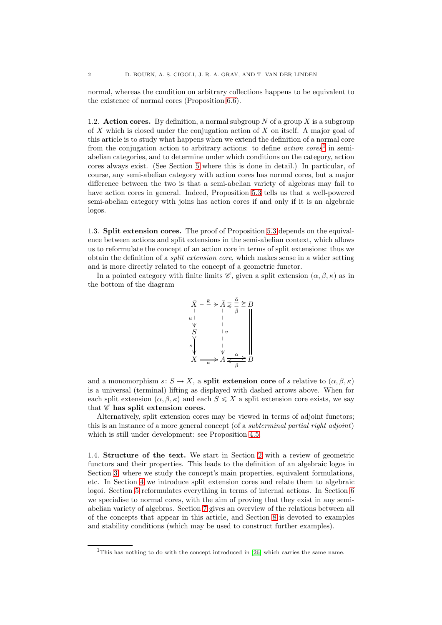normal, whereas the condition on arbitrary collections happens to be equivalent to the existence of normal cores (Proposition [6.6\)](#page-9-0).

1.2. Action cores. By definition, a normal subgroup N of a group X is a subgroup of X which is closed under the conjugation action of X on itself. A major goal of this article is to study what happens when we extend the definition of a normal core from the conjugation action to arbitrary actions: to define  $action\; cores^1$  $action\; cores^1$  in semiabelian categories, and to determine under which conditions on the category, action cores always exist. (See Section [5](#page-7-0) where this is done in detail.) In particular, of course, any semi-abelian category with action cores has normal cores, but a major difference between the two is that a semi-abelian variety of algebras may fail to have action cores in general. Indeed, Proposition [5.3](#page-8-1) tells us that a well-powered semi-abelian category with joins has action cores if and only if it is an algebraic logos.

1.3. Split extension cores. The proof of Proposition [5.3](#page-8-1) depends on the equivalence between actions and split extensions in the semi-abelian context, which allows us to reformulate the concept of an action core in terms of split extensions: thus we obtain the definition of a split extension core, which makes sense in a wider setting and is more directly related to the concept of a geometric functor.

In a pointed category with finite limits  $\mathscr{C}$ , given a split extension  $(\alpha, \beta, \kappa)$  as in the bottom of the diagram



and a monomorphism  $s: S \to X$ , a split extension core of s relative to  $(\alpha, \beta, \kappa)$ is a universal (terminal) lifting as displayed with dashed arrows above. When for each split extension  $(\alpha, \beta, \kappa)$  and each  $S \leq X$  a split extension core exists, we say that  $\mathscr C$  has split extension cores.

Alternatively, split extension cores may be viewed in terms of adjoint functors; this is an instance of a more general concept (of a subterminal partial right adjoint) which is still under development: see Proposition [4.5.](#page-7-1)

1.4. Structure of the text. We start in Section [2](#page-2-0) with a review of geometric functors and their properties. This leads to the definition of an algebraic logos in Section [3,](#page-3-0) where we study the concept's main properties, equivalent formulations, etc. In Section [4](#page-6-0) we introduce split extension cores and relate them to algebraic logoi. Section [5](#page-7-0) reformulates everything in terms of internal actions. In Section [6](#page-8-0) we specialise to normal cores, with the aim of proving that they exist in any semiabelian variety of algebras. Section [7](#page-11-1) gives an overview of the relations between all of the concepts that appear in this article, and Section [8](#page-13-1) is devoted to examples and stability conditions (which may be used to construct further examples).

<span id="page-1-0"></span><sup>&</sup>lt;sup>1</sup>This has nothing to do with the concept introduced in [\[26\]](#page-16-2) which carries the same name.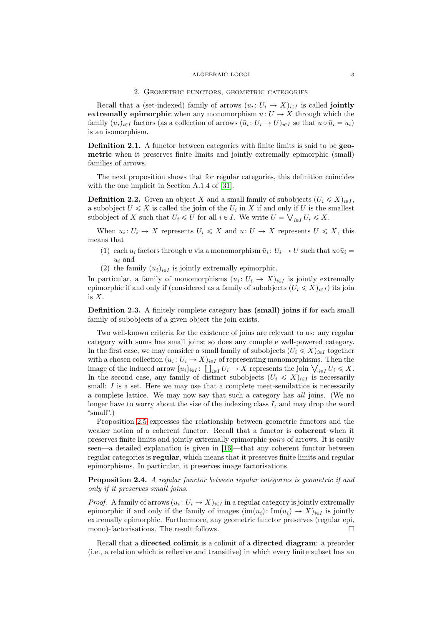# 2. Geometric functors, geometric categories

<span id="page-2-0"></span>Recall that a (set-indexed) family of arrows  $(u_i: U_i \to X)_{i \in I}$  is called **jointly** extremally epimorphic when any monomorphism  $u: U \to X$  through which the family  $(u_i)_{i \in I}$  factors (as a collection of arrows  $(\bar{u}_i : U_i \to U)_{i \in I}$  so that  $u \circ \bar{u}_i = u_i$ ) is an isomorphism.

Definition 2.1. A functor between categories with finite limits is said to be geometric when it preserves finite limits and jointly extremally epimorphic (small) families of arrows.

The next proposition shows that for regular categories, this definition coincides with the one implicit in Section A.1.4 of [\[31\]](#page-16-0).

**Definition 2.2.** Given an object X and a small family of subobjects  $(U_i \leq X)_{i \in I}$ , a subobject  $U \leqslant X$  is called the **join** of the  $U_i$  in X if and only if U is the smallest subobject of X such that  $U_i \le U$  for all  $i \in I$ . We write  $U = \bigvee_{i \in I} U_i \le X$ .

When  $u_i: U_i \to X$  represents  $U_i \leq X$  and  $u: U \to X$  represents  $U \leq X$ , this means that

- (1) each  $u_i$  factors through u via a monomorphism  $\bar{u}_i: U_i \to U$  such that  $u \circ \bar{u}_i =$  $u_i$  and
- (2) the family  $(\bar{u}_i)_{i\in I}$  is jointly extremally epimorphic.

In particular, a family of monomorphisms  $(u_i: U_i \to X)_{i \in I}$  is jointly extremally epimorphic if and only if (considered as a family of subobjects  $(U_i \leq X)_{i \in I}$ ) its join is X.

Definition 2.3. A finitely complete category has (small) joins if for each small family of subobjects of a given object the join exists.

Two well-known criteria for the existence of joins are relevant to us: any regular category with sums has small joins; so does any complete well-powered category. In the first case, we may consider a small family of subobjects  $(U_i \leq X)_{i \in I}$  together with a chosen collection  $(u_i: U_i \to X)_{i \in I}$  of representing monomorphisms. Then the image of the induced arrow  $(u_i)_{i \in I} : \coprod_{i \in I} U_i \to X$  represents the join  $\bigvee_{i \in I} U_i \leq X$ . In the second case, any family of distinct subobjects  $(U_i \leq X)_{i \in I}$  is necessarily small: I is a set. Here we may use that a complete meet-semilattice is necessarily a complete lattice. We may now say that such a category has all joins. (We no longer have to worry about the size of the indexing class  $I$ , and may drop the word "small".)

Proposition [2.5](#page-3-1) expresses the relationship between geometric functors and the weaker notion of a coherent functor. Recall that a functor is coherent when it preserves finite limits and jointly extremally epimorphic pairs of arrows. It is easily seen—a detailed explanation is given in [\[16\]](#page-15-1)—that any coherent functor between regular categories is regular, which means that it preserves finite limits and regular epimorphisms. In particular, it preserves image factorisations.

Proposition 2.4. A regular functor between regular categories is geometric if and only if it preserves small joins.

*Proof.* A family of arrows  $(u_i: U_i \to X)_{i \in I}$  in a regular category is jointly extremally epimorphic if and only if the family of images  $(\text{im}(u_i): \text{Im}(u_i) \to X)_{i \in I}$  is jointly extremally epimorphic. Furthermore, any geometric functor preserves (regular epi, mono)-factorisations. The result follows.  $\Box$ 

Recall that a directed colimit is a colimit of a directed diagram: a preorder (i.e., a relation which is reflexive and transitive) in which every finite subset has an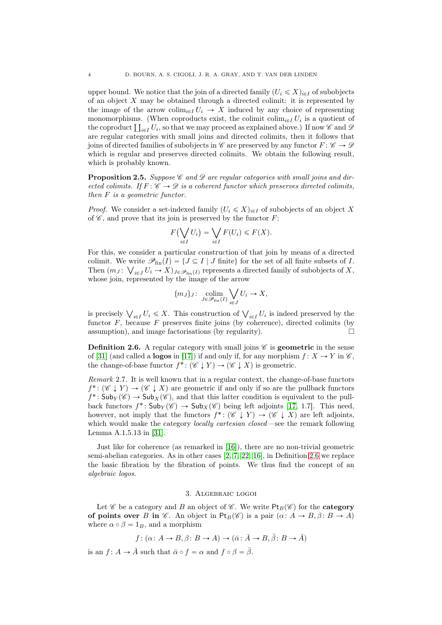upper bound. We notice that the join of a directed family  $(U_i \leq X)_{i \in I}$  of subobjects of an object  $X$  may be obtained through a directed colimit: it is represented by the image of the arrow colim<sub>ie</sub>  $U_i \rightarrow X$  induced by any choice of representing monomorphisms. (When coproducts exist, the colimit  $\text{colim}_{i\in I} U_i$  is a quotient of the coproduct  $\prod_{i\in I} U_i$ , so that we may proceed as explained above.) If now  $\mathscr C$  and  $\mathscr D$ are regular categories with small joins and directed colimits, then it follows that joins of directed families of subobjects in  $\mathscr C$  are preserved by any functor  $F: \mathscr C \to \mathscr D$ which is regular and preserves directed colimits. We obtain the following result, which is probably known.

<span id="page-3-1"></span>**Proposition 2.5.** Suppose  $\mathscr{C}$  and  $\mathscr{D}$  are regular categories with small joins and directed colimits. If  $F: \mathscr{C} \to \mathscr{D}$  is a coherent functor which preserves directed colimits, then F is a geometric functor.

*Proof.* We consider a set-indexed family  $(U_i \leq X)_{i \in I}$  of subobjects of an object X of  $\mathscr C$ , and prove that its join is preserved by the functor  $F$ :

$$
F\left(\bigvee_{i\in I} U_i\right) = \bigvee_{i\in I} F(U_i) \leqslant F(X).
$$

For this, we consider a particular construction of that join by means of a directed colimit. We write  $\mathscr{P}_{fin}(I) = \{J \subseteq I \mid J \text{ finite}\}\$ for the set of all finite subsets of I. Then  $(m_J: \bigvee_{i \in J} U_i \to X)_{J \in \mathscr{P}_{fin}(I)}$  represents a directed family of subobjects of X, whose join, represented by the image of the arrow

$$
(m_J)_J: \underset{J \in \mathscr{P}_{fin}(I)}{\text{colim}} \bigvee_{i \in J} U_i \to X,
$$

is precisely  $\bigvee_{i\in I} U_i \leq X$ . This construction of  $\bigvee_{i\in I} U_i$  is indeed preserved by the functor  $F$ , because  $F$  preserves finite joins (by coherence), directed colimits (by assumption), and image factorisations (by regularity).  $\Box$ 

<span id="page-3-2"></span>**Definition 2.6.** A regular category with small joins  $\mathscr{C}$  is **geometric** in the sense of [\[31\]](#page-16-0) (and called a **logos** in [\[17\]](#page-15-0)) if and only if, for any morphism  $f: X \to Y$  in  $\mathscr{C}$ . the change-of-base functor  $f^*: (\mathscr{C} \downarrow Y) \rightarrow (\mathscr{C} \downarrow X)$  is geometric.

<span id="page-3-3"></span>Remark 2.7. It is well known that in a regular context, the change-of-base functors  $f^* : (\mathscr{C} \downarrow Y) \to (\mathscr{C} \downarrow X)$  are geometric if and only if so are the pullback functors  $f^*$ :  $\mathsf{Sub}_Y(\mathscr{C}) \to \mathsf{Sub}_X(\mathscr{C})$ , and that this latter condition is equivalent to the pullback functors  $f^*$ :  $\mathsf{Sub}_Y(\mathscr{C}) \to \mathsf{Sub}_X(\mathscr{C})$  being left adjoints [\[17,](#page-15-0) 1.7]. This need, however, not imply that the functors  $f^*: (\mathscr{C} \downarrow Y) \to (\mathscr{C} \downarrow X)$  are left adjoints, which would make the category *locally cartesian closed*—see the remark following Lemma A.1.5.13 in [\[31\]](#page-16-0).

Just like for coherence (as remarked in [\[16\]](#page-15-1)), there are no non-trivial geometric semi-abelian categories. As in other cases [\[2,](#page-15-2) [7,](#page-15-3) [22,](#page-16-3) [16\]](#page-15-1), in Definition [2.6](#page-3-2) we replace the basic fibration by the fibration of points. We thus find the concept of an algebraic logos.

## 3. Algebraic logoi

<span id="page-3-0"></span>Let  $\mathscr C$  be a category and  $B$  an object of  $\mathscr C$ . We write  $\mathsf{Pt}_B(\mathscr C)$  for the **category** of points over B in  $\mathscr C$ . An object in Pt<sub>B</sub>( $\mathscr C$ ) is a pair  $(\alpha: A \to B, \beta: B \to A)$ where  $\alpha \circ \beta = 1_B$ , and a morphism

$$
f \colon (\alpha \colon A \to B, \beta \colon B \to A) \to (\bar{\alpha} \colon \bar{A} \to B, \bar{\beta} \colon B \to \bar{A})
$$

is an  $f: A \to \overline{A}$  such that  $\overline{\alpha} \circ f = \alpha$  and  $f \circ \beta = \overline{\beta}$ .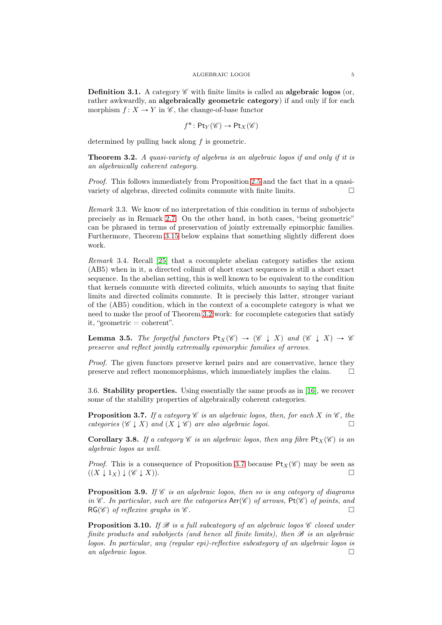<span id="page-4-3"></span>**Definition 3.1.** A category  $\mathscr C$  with finite limits is called an **algebraic logos** (or, rather awkwardly, an algebraically geometric category) if and only if for each morphism  $f: X \to Y$  in  $\mathscr{C}$ , the change-of-base functor

$$
f^* \colon \mathsf{Pt}_Y(\mathscr{C}) \to \mathsf{Pt}_X(\mathscr{C})
$$

determined by pulling back along  $f$  is geometric.

<span id="page-4-0"></span>Theorem 3.2. A quasi-variety of algebras is an algebraic logos if and only if it is an algebraically coherent category.

Proof. This follows immediately from Proposition [2.5](#page-3-1) and the fact that in a quasivariety of algebras, directed colimits commute with finite limits.  $\Box$ 

Remark 3.3. We know of no interpretation of this condition in terms of subobjects precisely as in Remark [2.7.](#page-3-3) On the other hand, in both cases, "being geometric" can be phrased in terms of preservation of jointly extremally epimorphic families. Furthermore, Theorem [3.15](#page-5-0) below explains that something slightly different does work.

Remark 3.4. Recall [\[25\]](#page-16-4) that a cocomplete abelian category satisfies the axiom (AB5) when in it, a directed colimit of short exact sequences is still a short exact sequence. In the abelian setting, this is well known to be equivalent to the condition that kernels commute with directed colimits, which amounts to saying that finite limits and directed colimits commute. It is precisely this latter, stronger variant of the (AB5) condition, which in the context of a cocomplete category is what we need to make the proof of Theorem [3.2](#page-4-0) work: for cocomplete categories that satisfy it, "geometric  $=$  coherent".

<span id="page-4-2"></span>**Lemma 3.5.** The forgetful functors  $\text{Pt}_X(\mathscr{C}) \rightarrow (\mathscr{C} \perp X)$  and  $(\mathscr{C} \perp X) \rightarrow \mathscr{C}$ preserve and reflect jointly extremally epimorphic families of arrows.

Proof. The given functors preserve kernel pairs and are conservative, hence they preserve and reflect monomorphisms, which immediately implies the claim.  $\Box$ 

3.6. Stability properties. Using essentially the same proofs as in [\[16\]](#page-15-1), we recover some of the stability properties of algebraically coherent categories.

<span id="page-4-1"></span>**Proposition 3.7.** If a category  $\mathscr C$  is an algebraic logos, then, for each X in  $\mathscr C$ , the categories  $(\mathscr{C} \downarrow X)$  and  $(X \downarrow \mathscr{C})$  are also algebraic logoi.

**Corollary 3.8.** If a category C is an algebraic logos, then any fibre  $\text{Pt}_X(\mathscr{C})$  is an algebraic logos as well.

*Proof.* This is a consequence of Proposition [3.7](#page-4-1) because  $Pt_X(\mathscr{C})$  may be seen as  $((X \downarrow 1_X) \downarrow (\mathscr{C} \downarrow X)).$ 

**Proposition 3.9.** If  $\mathscr C$  is an algebraic logos, then so is any category of diagrams in  $\mathscr{C}$ . In particular, such are the categories  $Arr(\mathscr{C})$  of arrows,  $Pt(\mathscr{C})$  of points, and  $RG(\mathscr{C})$  of reflexive graphs in  $\mathscr{C}$ .

<span id="page-4-4"></span>**Proposition 3.10.** If  $\mathcal{B}$  is a full subcategory of an algebraic logos  $\mathcal{C}$  closed under finite products and subobjects (and hence all finite limits), then  $\mathcal B$  is an algebraic logos. In particular, any (regular epi)-reflective subcategory of an algebraic logos is an algebraic logos.  $\Box$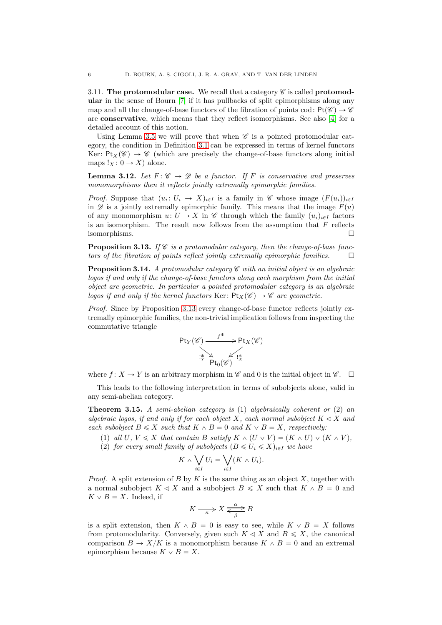3.11. The protomodular case. We recall that a category  $\mathscr C$  is called protomodular in the sense of Bourn [\[7\]](#page-15-3) if it has pullbacks of split epimorphisms along any map and all the change-of-base functors of the fibration of points cod:  $Pt(\mathscr{C}) \rightarrow \mathscr{C}$ are conservative, which means that they reflect isomorphisms. See also [\[4\]](#page-15-4) for a detailed account of this notion.

Using Lemma [3.5](#page-4-2) we will prove that when  $\mathscr C$  is a pointed protomodular category, the condition in Definition [3.1](#page-4-3) can be expressed in terms of kernel functors Ker:  $Pt_X(\mathscr{C}) \rightarrow \mathscr{C}$  (which are precisely the change-of-base functors along initial maps  $!_X : 0 \to X$  alone.

**Lemma 3.12.** Let  $F: \mathscr{C} \to \mathscr{D}$  be a functor. If F is conservative and preserves monomorphisms then it reflects jointly extremally epimorphic families.

*Proof.* Suppose that  $(u_i: U_i \to X)_{i \in I}$  is a family in  $\mathscr C$  whose image  $(F(u_i))_{i \in I}$ in  $\mathscr D$  is a jointly extremally epimorphic family. This means that the image  $F(u)$ of any monomorphism  $u: U \to X$  in  $\mathscr C$  through which the family  $(u_i)_{i \in I}$  factors is an isomorphism. The result now follows from the assumption that  $F$  reflects isomorphisms.

<span id="page-5-1"></span>**Proposition 3.13.** If  $\mathscr C$  is a protomodular category, then the change-of-base functors of the fibration of points reflect jointly extremally epimorphic families.  $\Box$ 

<span id="page-5-2"></span>**Proposition 3.14.** A protomodular category  $\mathscr C$  with an initial object is an algebraic logos if and only if the change-of-base functors along each morphism from the initial object are geometric. In particular a pointed protomodular category is an algebraic logos if and only if the kernel functors Ker:  $Pt_X(\mathscr{C}) \to \mathscr{C}$  are geometric.

Proof. Since by Proposition [3.13](#page-5-1) every change-of-base functor reflects jointly extremally epimorphic families, the non-trivial implication follows from inspecting the commutative triangle

$$
\mathsf{Pt}_{Y}(\mathscr{C}) \xrightarrow{\qquad f^* \qquad} \mathsf{Pt}_{X}(\mathscr{C})
$$

$$
\xrightarrow{\qquad \qquad \qquad \qquad \qquad \mathsf{Pt}_{X}(\mathscr{C})}
$$

$$
\xrightarrow{\qquad \qquad \qquad \qquad \mathsf{Pt}_{0}(\mathscr{C})} \xrightarrow{\qquad \qquad \qquad \qquad \mathsf{Pt}_{X}(\mathscr{C})}
$$

where  $f: X \to Y$  is an arbitrary morphism in  $\mathscr C$  and 0 is the initial object in  $\mathscr C$ .

This leads to the following interpretation in terms of subobjects alone, valid in any semi-abelian category.

<span id="page-5-0"></span>**Theorem 3.15.** A semi-abelian category is  $(1)$  algebraically coherent or  $(2)$  an algebraic logos, if and only if for each object X, each normal subobject  $K \triangleleft X$  and each subobject  $B \leq X$  such that  $K \wedge B = 0$  and  $K \vee B = X$ , respectively:

(1) all U,  $V \leq X$  that contain B satisfy  $K \wedge (U \vee V) = (K \wedge U) \vee (K \wedge V)$ , (2) for every small family of subobjects  $(B \le U_i \le X)_{i \in I}$  we have

$$
K \wedge \bigvee_{i \in I} U_i = \bigvee_{i \in I} (K \wedge U_i).
$$

*Proof.* A split extension of B by K is the same thing as an object X, together with a normal subobject  $K \triangleleft X$  and a subobject  $B \leq X$  such that  $K \wedge B = 0$  and  $K \vee B = X$ . Indeed, if

$$
K \xrightarrow{\alpha} X \xrightarrow{\alpha} B
$$

is a split extension, then  $K \wedge B = 0$  is easy to see, while  $K \vee B = X$  follows from protomodularity. Conversely, given such  $K \triangleleft X$  and  $B \leq X$ , the canonical comparison  $B \to X/K$  is a monomorphism because  $K \wedge B = 0$  and an extremal epimorphism because  $K \vee B = X$ .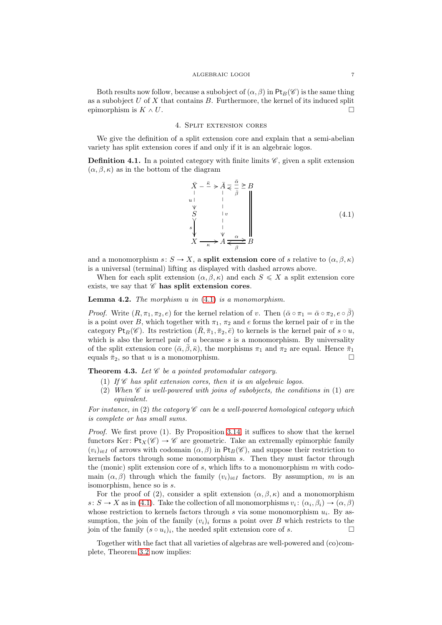Both results now follow, because a subobject of  $(\alpha, \beta)$  in Pt<sub>B</sub>( $\mathscr{C}$ ) is the same thing as a subobject  $U$  of  $X$  that contains  $B$ . Furthermore, the kernel of its induced split epimorphism is  $K \wedge U$ .

### 4. Split extension cores

<span id="page-6-0"></span>We give the definition of a split extension core and explain that a semi-abelian variety has split extension cores if and only if it is an algebraic logos.

**Definition 4.1.** In a pointed category with finite limits  $\mathscr{C}$ , given a split extension  $(\alpha, \beta, \kappa)$  as in the bottom of the diagram

<span id="page-6-1"></span>
$$
\begin{array}{c}\n\bar{X} - \frac{\bar{\kappa}}{\cdot} > \bar{A} \leq \frac{\bar{\alpha}}{\bar{\beta}} \geq B \\
\downarrow & \downarrow & \downarrow & \downarrow & \downarrow & \\
S & \downarrow & \downarrow & \downarrow & \downarrow & \\
S & \downarrow & \downarrow & \downarrow & \downarrow & \\
S & \downarrow & \downarrow & \downarrow & \downarrow & \\
X \longrightarrow X & \xrightarrow{\kappa} A \leq \frac{\alpha}{\beta} \end{array} \tag{4.1}
$$

and a monomorphism  $s: S \to X$ , a split extension core of s relative to  $(\alpha, \beta, \kappa)$ is a universal (terminal) lifting as displayed with dashed arrows above.

When for each split extension  $(\alpha, \beta, \kappa)$  and each  $S \leq X$  a split extension core exists, we say that  $\mathscr C$  has split extension cores.

# <span id="page-6-3"></span>**Lemma 4.2.** The morphism  $u$  in  $(4.1)$  is a monomorphism.

*Proof.* Write  $(R, \pi_1, \pi_2, e)$  for the kernel relation of v. Then  $(\bar{\alpha} \circ \pi_1 = \bar{\alpha} \circ \pi_2, e \circ \bar{\beta})$ is a point over B, which together with  $\pi_1$ ,  $\pi_2$  and e forms the kernel pair of v in the category  $Pt_B(\mathscr{C})$ . Its restriction  $(\bar{R}, \bar{\pi}_1, \bar{\pi}_2, \bar{e})$  to kernels is the kernel pair of  $s \circ u$ , which is also the kernel pair of  $u$  because  $s$  is a monomorphism. By universality of the split extension core  $(\bar{\alpha}, \beta, \bar{\kappa})$ , the morphisms  $\pi_1$  and  $\pi_2$  are equal. Hence  $\bar{\pi}_1$ equals  $\bar{\pi}_2$ , so that u is a monomorphism.

<span id="page-6-2"></span>**Theorem 4.3.** Let  $\mathscr C$  be a pointed protomodular category.

- (1) If  $\mathscr C$  has split extension cores, then it is an algebraic logos.
- (2) When  $\mathscr C$  is well-powered with joins of subobjects, the conditions in (1) are equivalent.

For instance, in (2) the category  $\mathscr C$  can be a well-powered homological category which is complete or has small sums.

Proof. We first prove (1). By Proposition [3.14,](#page-5-2) it suffices to show that the kernel functors Ker:  $Pt_X(\mathscr{C}) \to \mathscr{C}$  are geometric. Take an extremally epimorphic family  $(v_i)_{i\in I}$  of arrows with codomain  $(\alpha, \beta)$  in Pt<sub>B</sub>(C), and suppose their restriction to kernels factors through some monomorphism s. Then they must factor through the (monic) split extension core of  $s$ , which lifts to a monomorphism  $m$  with codomain  $(\alpha, \beta)$  through which the family  $(v_i)_{i\in I}$  factors. By assumption, m is an isomorphism, hence so is s.

For the proof of (2), consider a split extension  $(\alpha, \beta, \kappa)$  and a monomorphism  $s: S \to X$  as in [\(4.1\)](#page-6-1). Take the collection of all monomorphisms  $v_i: (\alpha_i, \beta_i) \to (\alpha, \beta)$ whose restriction to kernels factors through  $s$  via some monomorphism  $u_i$ . By assumption, the join of the family  $(v_i)_i$  forms a point over B which restricts to the join of the family  $(s \circ u_i)_i$ , the needed split extension core of s.

Together with the fact that all varieties of algebras are well-powered and (co)complete, Theorem [3.2](#page-4-0) now implies: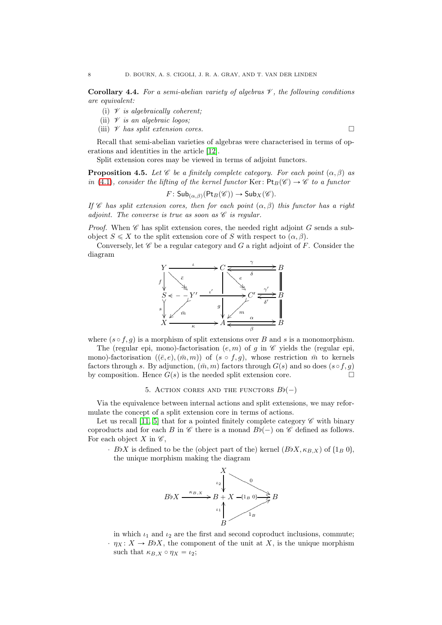<span id="page-7-2"></span>Corollary 4.4. For a semi-abelian variety of algebras  $\mathscr V$ , the following conditions are equivalent:

- (i)  $\mathscr V$  is algebraically coherent;
- (ii)  $\not\!\!V$  is an algebraic logos;
- (iii)  $\mathscr V$  has split extension cores.

Recall that semi-abelian varieties of algebras were characterised in terms of operations and identities in the article [\[12\]](#page-15-5).

Split extension cores may be viewed in terms of adjoint functors.

<span id="page-7-1"></span>**Proposition 4.5.** Let  $\mathscr C$  be a finitely complete category. For each point  $(\alpha, \beta)$  as in [\(4.1\)](#page-6-1), consider the lifting of the kernel functor Ker:  $Pt_B(\mathscr{C}) \to \mathscr{C}$  to a functor

$$
F: \mathsf{Sub}_{(\alpha,\beta)}(\mathsf{Pt}_B(\mathscr{C})) \to \mathsf{Sub}_X(\mathscr{C}).
$$

If C has split extension cores, then for each point  $(\alpha, \beta)$  this functor has a right adjoint. The converse is true as soon as  $\mathscr C$  is regular.

*Proof.* When  $\mathscr C$  has split extension cores, the needed right adjoint G sends a subobject  $S \leq X$  to the split extension core of S with respect to  $(\alpha, \beta)$ .

Conversely, let  $\mathscr C$  be a regular category and G a right adjoint of F. Consider the diagram



where  $(s \circ f, g)$  is a morphism of split extensions over B and s is a monomorphism.

The (regular epi, mono)-factorisation  $(e, m)$  of g in  $\mathscr C$  yields the (regular epi, mono)-factorisation  $(\bar{e}, e), (\bar{m}, m)$  of  $(s \circ f, g)$ , whose restriction  $\bar{m}$  to kernels factors through s. By adjunction,  $(\bar{m}, m)$  factors through  $G(s)$  and so does  $(s \circ f, g)$ by composition. Hence  $G(s)$  is the needed split extension core.

<span id="page-7-0"></span>Via the equivalence between internal actions and split extensions, we may reformulate the concept of a split extension core in terms of actions.

Let us recall [\[11,](#page-15-6) [5\]](#page-15-7) that for a pointed finitely complete category  $\mathscr C$  with binary coproducts and for each B in  $\mathscr C$  there is a monad  $B$  $(-)$  on  $\mathscr C$  defined as follows. For each object X in  $\mathscr{C}$ ,

 $\cdot$  BbX is defined to be the (object part of the) kernel  $(BbX, \kappa_{B,X})$  of  $(1_B 0)$ , the unique morphism making the diagram



in which  $\iota_1$  and  $\iota_2$  are the first and second coproduct inclusions, commute;  $\cdot \eta_X: X \to B\flat X$ , the component of the unit at X, is the unique morphism such that  $\kappa_{B,X} \circ \eta_X = \iota_2;$ 

<sup>5.</sup> ACTION CORES AND THE FUNCTORS  $B\flat(-)$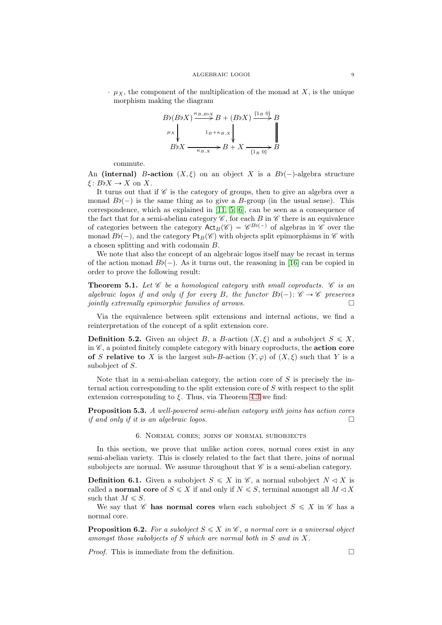$\cdot$   $\mu_X$ , the component of the multiplication of the monad at X, is the unique morphism making the diagram

$$
B\flat (B\flat X) \xrightarrow{\kappa_{B,B\flat X}} B + (B\flat X) \xrightarrow{(1_B 0)} B
$$
  
\n
$$
\mu_X \downarrow \qquad 1_B + \kappa_{B,X} \downarrow \qquad \qquad \parallel
$$
  
\n
$$
B\flat X \xrightarrow{\kappa_{B,X}} B + X \xrightarrow{(1_B 0)} B
$$

commute.

An (internal) B-action  $(X, \xi)$  on an object X is a Bb(-)-algebra structure ξ:  $B\natural X \to X$  on X.

It turns out that if  $\mathscr C$  is the category of groups, then to give an algebra over a monad  $B\flat(-)$  is the same thing as to give a B-group (in the usual sense). This correspondence, which as explained in [\[11,](#page-15-6) [5,](#page-15-7) [6\]](#page-15-8), can be seen as a consequence of the fact that for a semi-abelian category  $\mathscr{C}$ , for each B in  $\mathscr{C}$  there is an equivalence of categories between the category  $\text{Act}_B(\mathscr{C}) = \mathscr{C}^{B\flat(-)}$  of algebras in  $\mathscr{C}$  over the monad  $B\flat(-)$ , and the category  $Pt_B(\mathscr{C})$  with objects split epimorphisms in  $\mathscr{C}$  with a chosen splitting and with codomain B.

We note that also the concept of an algebraic logos itself may be recast in terms of the action monad  $B\flat(-)$ . As it turns out, the reasoning in [\[16\]](#page-15-1) can be copied in order to prove the following result:

**Theorem 5.1.** Let  $\mathscr C$  be a homological category with small coproducts.  $\mathscr C$  is an algebraic logos if and only if for every B, the functor  $B\flat(-)$ :  $\mathscr{C} \to \mathscr{C}$  preserves jointly extremally epimorphic families of arrows.  $\Box$ 

Via the equivalence between split extensions and internal actions, we find a reinterpretation of the concept of a split extension core.

**Definition 5.2.** Given an object B, a B-action  $(X, \xi)$  and a subobject  $S \leq X$ , in  $\mathscr{C}$ , a pointed finitely complete category with binary coproducts, the **action core** of S relative to X is the largest sub-B-action  $(Y, \varphi)$  of  $(X, \xi)$  such that Y is a subobject of S.

Note that in a semi-abelian category, the action core of  $S$  is precisely the internal action corresponding to the split extension core of S with respect to the split extension corresponding to  $\xi$ . Thus, via Theorem [4.3](#page-6-2) we find:

<span id="page-8-1"></span><span id="page-8-0"></span>Proposition 5.3. A well-powered semi-abelian category with joins has action cores if and only if it is an algebraic logos.

### 6. Normal cores; joins of normal subobjects

In this section, we prove that unlike action cores, normal cores exist in any semi-abelian variety. This is closely related to the fact that there, joins of normal subobjects are normal. We assume throughout that  $\mathscr C$  is a semi-abelian category.

**Definition 6.1.** Given a subobject  $S \leq X$  in  $\mathscr{C}$ , a normal subobject  $N \triangleleft X$  is called a normal core of  $S \leqslant X$  if and only if  $N \leqslant S$ , terminal amongst all  $M \triangleleft X$ such that  $M \leq S$ .

We say that C has normal cores when each subobject  $S \leqslant X$  in C has a normal core.

**Proposition 6.2.** For a subobject  $S \leq X$  in  $\mathscr{C}$ , a normal core is a universal object amongst those subobjects of S which are normal both in S and in X.

*Proof.* This is immediate from the definition.  $\square$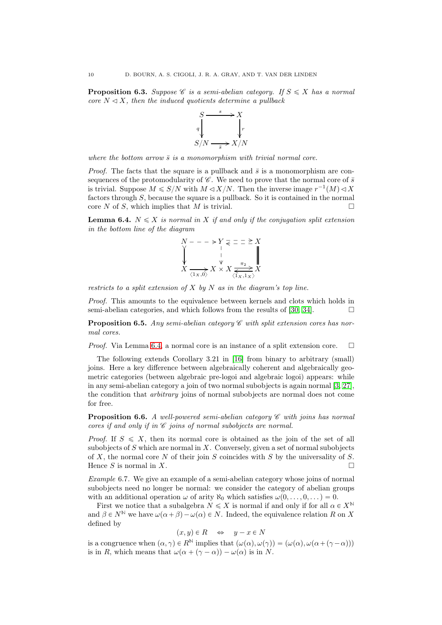**Proposition 6.3.** Suppose  $\mathscr C$  is a semi-abelian category. If  $S \leqslant X$  has a normal core  $N \triangleleft X$ , then the induced quotients determine a pullback



where the bottom arrow  $\bar{s}$  is a monomorphism with trivial normal core.

*Proof.* The facts that the square is a pullback and  $\bar{s}$  is a monomorphism are consequences of the protomodularity of  $\mathscr{C}$ . We need to prove that the normal core of  $\bar{s}$ is trivial. Suppose  $M \leqslant S/N$  with  $M \lhd X/N$ . Then the inverse image  $r^{-1}(M) \lhd X$ factors through S, because the square is a pullback. So it is contained in the normal core N of S, which implies that M is trivial.

<span id="page-9-1"></span>**Lemma 6.4.**  $N \leq X$  is normal in X if and only if the conjugation split extension in the bottom line of the diagram

$$
X - - - \rightarrow Y \underset{y}{\leq} \underline{z} = \underline{z} \underset{X}{\geq} X
$$
  

$$
X \underset{\langle 1x, 0 \rangle}{\longrightarrow} X \times X \underset{\langle 1x, 1x \rangle}{\overset{\pi_2}{\geq}} X
$$

restricts to a split extension of  $X$  by  $N$  as in the diagram's top line.

Proof. This amounts to the equivalence between kernels and clots which holds in semi-abelian categories, and which follows from the results of [\[30,](#page-16-5) [34\]](#page-16-6).  $\Box$ 

**Proposition 6.5.** Any semi-abelian category  $\mathscr C$  with split extension cores has normal cores.

*Proof.* Via Lemma [6.4,](#page-9-1) a normal core is an instance of a split extension core.  $\Box$ 

The following extends Corollary 3.21 in [\[16\]](#page-15-1) from binary to arbitrary (small) joins. Here a key difference between algebraically coherent and algebraically geometric categories (between algebraic pre-logoi and algebraic logoi) appears: while in any semi-abelian category a join of two normal subobjects is again normal [\[3,](#page-15-9) [27\]](#page-16-7), the condition that arbitrary joins of normal subobjects are normal does not come for free.

<span id="page-9-0"></span>**Proposition 6.6.** A well-powered semi-abelian category  $\mathscr C$  with joins has normal cores if and only if in  $\mathscr C$  joins of normal subobjects are normal.

*Proof.* If  $S \leqslant X$ , then its normal core is obtained as the join of the set of all subobjects of  $S$  which are normal in  $X$ . Conversely, given a set of normal subobjects of X, the normal core N of their join S coincides with S by the universality of S. Hence S is normal in X.

Example 6.7. We give an example of a semi-abelian category whose joins of normal subobjects need no longer be normal: we consider the category of abelian groups with an additional operation  $\omega$  of arity  $\aleph_0$  which satisfies  $\omega(0, \ldots, 0, \ldots) = 0$ .

First we notice that a subalgebra  $N \leq X$  is normal if and only if for all  $\alpha \in X^{\mathbb{N}}$ and  $\beta \in N^{\mathbb{N}}$  we have  $\omega(\alpha + \beta) - \omega(\alpha) \in N$ . Indeed, the equivalence relation R on X defined by

$$
(x, y) \in R \quad \Leftrightarrow \quad y - x \in N
$$

is a congruence when  $(\alpha, \gamma) \in R^{\mathbb{N}}$  implies that  $(\omega(\alpha), \omega(\gamma)) = (\omega(\alpha), \omega(\alpha + (\gamma - \alpha)))$ is in R, which means that  $\omega(\alpha + (\gamma - \alpha)) - \omega(\alpha)$  is in N.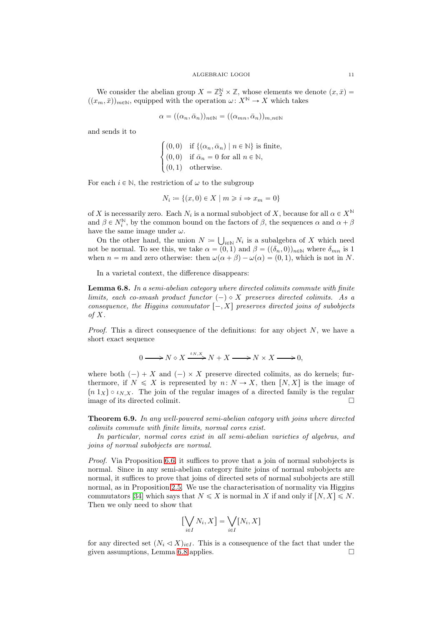We consider the abelian group  $X = \mathbb{Z}_2^{\mathbb{N}} \times \mathbb{Z}$ , whose elements we denote  $(x, \bar{x}) =$  $((x_m, \bar{x}))_{m\in\mathbb{N}}$ , equipped with the operation  $\omega: X^{\mathbb{N}} \to X$  which takes

$$
\alpha = ((\alpha_n, \bar{\alpha}_n))_{n \in \mathbb{N}} = ((\alpha_{mn}, \bar{\alpha}_n))_{m, n \in \mathbb{N}}
$$

and sends it to

$$
\begin{cases}\n(0,0) & \text{if } \{(\alpha_n, \bar{\alpha}_n) \mid n \in \mathbb{N}\} \text{ is finite,} \\
(0,0) & \text{if } \bar{\alpha}_n = 0 \text{ for all } n \in \mathbb{N}, \\
(0,1) & \text{otherwise.} \n\end{cases}
$$

For each  $i \in \mathbb{N}$ , the restriction of  $\omega$  to the subgroup

$$
N_i \coloneqq \{(x,0) \in X \mid m \geq i \Rightarrow x_m = 0\}
$$

of X is necessarily zero. Each  $N_i$  is a normal subobject of X, because for all  $\alpha \in X^{\mathbb{N}}$ and  $\beta \in N_i^{\mathbb{N}}$ , by the common bound on the factors of  $\beta$ , the sequences  $\alpha$  and  $\alpha + \beta$ have the same image under  $\omega$ .

On the other hand, the union  $N = \bigcup_{i \in \mathbb{N}} N_i$  is a subalgebra of X which need not be normal. To see this, we take  $\alpha = (0, 1)$  and  $\beta = ((\delta_n, 0))_{n \in \mathbb{N}}$  where  $\delta_{mn}$  is 1 when  $n = m$  and zero otherwise: then  $\omega(\alpha + \beta) - \omega(\alpha) = (0, 1)$ , which is not in N.

In a varietal context, the difference disappears:

<span id="page-10-1"></span>Lemma 6.8. In a semi-abelian category where directed colimits commute with finite limits, each co-smash product functor  $(-) \diamond X$  preserves directed colimits. As a consequence, the Higgins commutator  $[-, X]$  preserves directed joins of subobjects of X.

*Proof.* This a direct consequence of the definitions: for any object  $N$ , we have a short exact sequence

$$
0 \longrightarrow N \diamond X \xrightarrow{\iota_{N,X}} N + X \longrightarrow N \times X \longrightarrow 0,
$$

where both  $(-) + X$  and  $(-) \times X$  preserve directed colimits, as do kernels; furthermore, if  $N \leq X$  is represented by  $n: N \to X$ , then  $[N, X]$  is the image of  $(n\ 1_X)\circ \iota_{N,X}$ . The join of the regular images of a directed family is the regular image of its directed colimit.  $\Box$ 

<span id="page-10-0"></span>Theorem 6.9. In any well-powered semi-abelian category with joins where directed colimits commute with finite limits, normal cores exist.

In particular, normal cores exist in all semi-abelian varieties of algebras, and joins of normal subobjects are normal.

Proof. Via Proposition [6.6,](#page-9-0) it suffices to prove that a join of normal subobjects is normal. Since in any semi-abelian category finite joins of normal subobjects are normal, it suffices to prove that joins of directed sets of normal subobjects are still normal, as in Proposition [2.5.](#page-3-1) We use the characterisation of normality via Higgins commutators [\[34\]](#page-16-6) which says that  $N \leq X$  is normal in X if and only if  $[N, X] \leq N$ . Then we only need to show that

$$
\left[\bigvee_{i\in I}N_i, X\right] = \bigvee_{i\in I}\left[N_i, X\right]
$$

for any directed set  $(N_i \triangleleft X)_{i \in I}$ . This is a consequence of the fact that under the given assumptions, Lemma [6.8](#page-10-1) applies.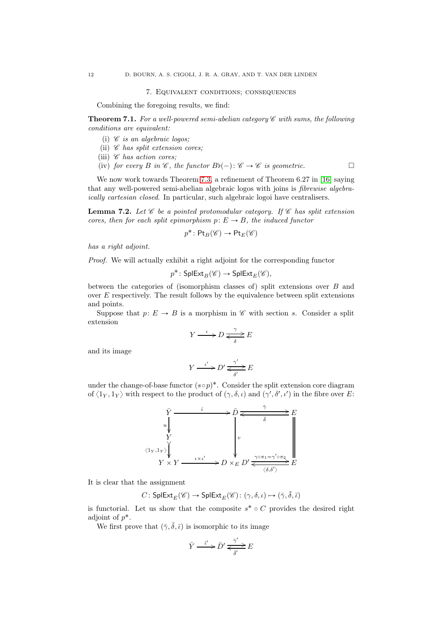### 7. Equivalent conditions; consequences

<span id="page-11-1"></span>Combining the foregoing results, we find:

<span id="page-11-0"></span>**Theorem 7.1.** For a well-powered semi-abelian category  $\mathscr C$  with sums, the following conditions are equivalent:

- (i)  $\mathscr C$  is an algebraic logos;
- (ii)  $\mathscr C$  has split extension cores;
- (iii)  $\mathscr C$  has action cores;
- (iv) for every B in  $\mathscr{C}$ , the functor  $B_{\mathfrak{b}}(-): \mathscr{C} \to \mathscr{C}$  is geometric.

We now work towards Theorem [7.3,](#page-12-0) a refinement of Theorem 6.27 in [\[16\]](#page-15-1) saying that any well-powered semi-abelian algebraic logos with joins is fibrewise algebraically cartesian closed. In particular, such algebraic logoi have centralisers.

<span id="page-11-2"></span>**Lemma 7.2.** Let  $\mathscr C$  be a pointed protomodular category. If  $\mathscr C$  has split extension cores, then for each split epimorphism  $p: E \to B$ , the induced functor

$$
p^* \colon \mathsf{Pt}_B(\mathscr{C}) \to \mathsf{Pt}_E(\mathscr{C})
$$

has a right adjoint.

Proof. We will actually exhibit a right adjoint for the corresponding functor

$$
p^* \colon \mathsf{SplExt}_B(\mathscr{C}) \to \mathsf{SplExt}_E(\mathscr{C}),
$$

between the categories of (isomorphism classes of) split extensions over B and over E respectively. The result follows by the equivalence between split extensions and points.

Suppose that  $p: E \to B$  is a morphism in  $\mathscr C$  with section s. Consider a split extension

$$
Y \xrightarrow{\iota} D \xrightarrow{\gamma} E
$$

and its image

$$
Y \xrightarrow{\iota'} D' \xleftarrow{\gamma'} E
$$

under the change-of-base functor  $(s \circ p)^*$ . Consider the split extension core diagram of  $\langle 1_Y, 1_Y \rangle$  with respect to the product of  $(\gamma, \delta, \iota)$  and  $(\gamma', \delta', \iota')$  in the fibre over E:



It is clear that the assignment

$$
C\colon \mathsf{SplExt}_E(\mathscr{C})\to \mathsf{SplExt}_E(\mathscr{C})\colon (\gamma,\delta,\iota)\mapsto (\bar\gamma,\bar\delta,\bar\iota)
$$

is functorial. Let us show that the composite  $s^* \circ C$  provides the desired right adjoint of  $p^*$ .

We first prove that  $(\bar{\gamma}, \bar{\delta}, \bar{\iota})$  is isomorphic to its image

$$
\bar{Y} \xrightarrow{\bar{\iota}'} \bar{D}' \xleftarrow{\bar{\gamma}'} E
$$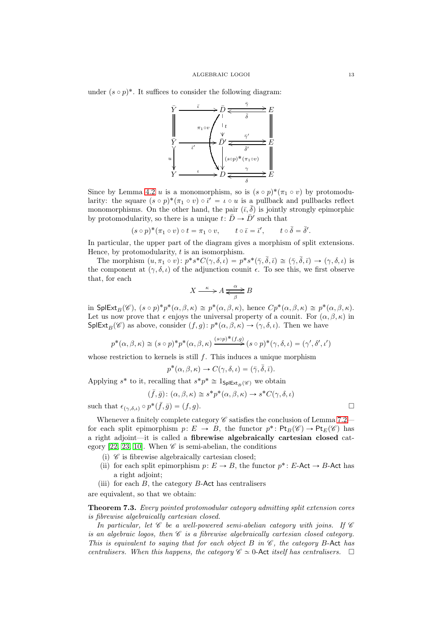under  $(s \circ p)^*$ . It suffices to consider the following diagram:



Since by Lemma [4.2](#page-6-3) u is a monomorphism, so is  $(s \circ p)^*(\pi_1 \circ v)$  by protomodularity: the square  $(s \circ p)^*(\pi_1 \circ v) \circ \vec{l}' = \iota \circ u$  is a pullback and pullbacks reflect monomorphisms. On the other hand, the pair  $(\bar{\iota}, \bar{\delta})$  is jointly strongly epimorphic by protomodularity, so there is a unique  $t: \overline{D} \to \overline{D}'$  such that

$$
(s \circ p)^*(\pi_1 \circ v) \circ t = \pi_1 \circ v
$$
,  $t \circ \overline{\iota} = \overline{\iota}'$ ,  $t \circ \overline{\delta} = \overline{\delta}'$ .

In particular, the upper part of the diagram gives a morphism of split extensions. Hence, by protomodularity,  $t$  is an isomorphism.

The morphism  $(u, \pi_1 \circ v) : p^*s^*C(\gamma, \delta, \iota) = p^*s^*(\bar{\gamma}, \bar{\delta}, \bar{\iota}) \simeq (\bar{\gamma}, \bar{\delta}, \bar{\iota}) \to (\gamma, \delta, \iota)$  is the component at  $(\gamma, \delta, \iota)$  of the adjunction counit  $\epsilon$ . To see this, we first observe that, for each

$$
X \xrightarrow{\kappa} A \xrightarrow{\alpha} B
$$

in SplExt<sub>B</sub>( $\mathscr{C}$ ),  $(s \circ p)^* p^* (\alpha, \beta, \kappa) \cong p^* (\alpha, \beta, \kappa)$ , hence  $Cp^* (\alpha, \beta, \kappa) \cong p^* (\alpha, \beta, \kappa)$ . Let us now prove that  $\epsilon$  enjoys the universal property of a counit. For  $(\alpha, \beta, \kappa)$  in  $\mathsf{SplExt}_B(\mathscr{C})$  as above, consider  $(f, g): p^*(\alpha, \beta, \kappa) \to (\gamma, \delta, \iota)$ . Then we have

$$
p^*(\alpha, \beta, \kappa) \cong (s \circ p)^* p^*(\alpha, \beta, \kappa) \xrightarrow{(s \circ p)^*(f,g)} (s \circ p)^*(\gamma, \delta, \iota) = (\gamma', \delta', \iota')
$$

whose restriction to kernels is still  $f$ . This induces a unique morphism

$$
p^*(\alpha, \beta, \kappa) \to C(\gamma, \delta, \iota) = (\bar{\gamma}, \bar{\delta}, \bar{\iota}).
$$

Applying  $s^*$  to it, recalling that  $s^*p^* \cong 1_{\mathsf{SplExt}_B(\mathscr{C})}$  we obtain

$$
(\bar{f}, \bar{g}) \colon (\alpha, \beta, \kappa) \cong s^* p^* (\alpha, \beta, \kappa) \to s^* C(\gamma, \delta, \iota)
$$

such that  $\epsilon_{(\gamma,\delta,\iota)} \circ p^*(\bar{f}, \bar{g}) = (f, g).$ 

Whenever a finitely complete category  $\mathscr C$  satisfies the conclusion of Lemma [7.2](#page-11-2) for each split epimorphism  $p: E \to B$ , the functor  $p^*: \mathsf{Pt}_B(\mathscr{C}) \to \mathsf{Pt}_E(\mathscr{C})$  has a right adjoint—it is called a fibrewise algebraically cartesian closed cat-egory [\[22,](#page-16-3) [23,](#page-16-8) [10\]](#page-15-10). When  $\mathscr C$  is semi-abelian, the conditions

- (i)  $\mathscr C$  is fibrewise algebraically cartesian closed;
- (ii) for each split epimorphism  $p: E \to B$ , the functor  $p^*: E$ -Act  $\to B$ -Act has a right adjoint;
- (iii) for each  $B$ , the category  $B$ -Act has centralisers

are equivalent, so that we obtain:

<span id="page-12-0"></span>Theorem 7.3. Every pointed protomodular category admitting split extension cores is fibrewise algebraically cartesian closed.

In particular, let  $\mathscr C$  be a well-powered semi-abelian category with joins. If  $\mathscr C$ is an algebraic logos, then  $\mathscr C$  is a fibrewise algebraically cartesian closed category. This is equivalent to saying that for each object B in  $\mathscr{C}$ , the category B-Act has centralisers. When this happens, the category  $\mathscr{C} \simeq 0$ -Act itself has centralisers.  $\square$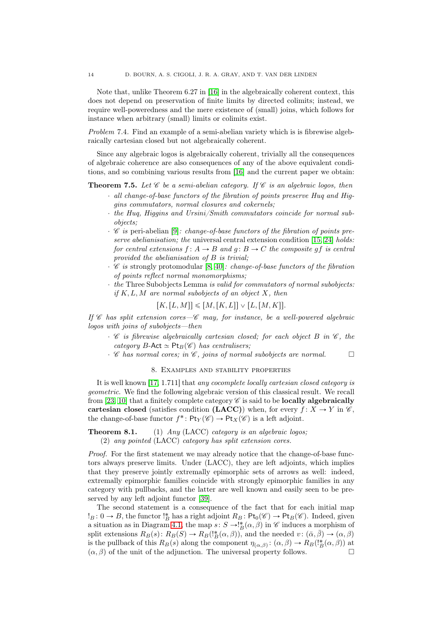Note that, unlike Theorem 6.27 in [\[16\]](#page-15-1) in the algebraically coherent context, this does not depend on preservation of finite limits by directed colimits; instead, we require well-poweredness and the mere existence of (small) joins, which follows for instance when arbitrary (small) limits or colimits exist.

Problem 7.4. Find an example of a semi-abelian variety which is is fibrewise algebraically cartesian closed but not algebraically coherent.

Since any algebraic logos is algebraically coherent, trivially all the consequences of algebraic coherence are also consequences of any of the above equivalent conditions, and so combining various results from [\[16\]](#page-15-1) and the current paper we obtain:

<span id="page-13-0"></span>**Theorem 7.5.** Let  $\mathscr C$  be a semi-abelian category. If  $\mathscr C$  is an algebraic logos, then

- $\cdot$  all change-of-base functors of the fibration of points preserve Hug and Higgins commutators, normal closures and cokernels;
- $\cdot$  the Huq, Higgins and Ursini/Smith commutators coincide for normal subobjects;
- $\cdot$  C is peri-abelian [\[9\]](#page-15-11): change-of-base functors of the fibration of points pre-serve abelianisation; the universal central extension condition [\[15,](#page-15-12) [24\]](#page-16-9) holds: for central extensions  $f: A \rightarrow B$  and  $q: B \rightarrow C$  the composite  $qf$  is central provided the abelianisation of B is trivial;
- $\cdot$  C is strongly protomodular [\[8,](#page-15-13) [40\]](#page-16-10): change-of-base functors of the fibration of points reflect normal monomorphisms;
- $\cdot$  the Three Subobjects Lemma is valid for commutators of normal subobjects: if  $K, L, M$  are normal subobjects of an object X, then

 $[K,[L, M]] \leqslant [M,[K, L]] \vee [L,[M, K]].$ 

If  $\mathscr C$  has split extension cores— $\mathscr C$  may, for instance, be a well-powered algebraic logos with joins of subobjects—then

- $\cdot$  C is fibrewise algebraically cartesian closed; for each object B in C, the category B-Act  $\simeq$  Pt<sub>B</sub>( $\mathscr{C}$ ) has centralisers;
- <span id="page-13-1"></span> $\cdot$  C has normal cores; in C, joins of normal subobjects are normal.  $\Box$

## 8. Examples and stability properties

It is well known [\[17,](#page-15-0) 1.711] that any cocomplete locally cartesian closed category is geometric. We find the following algebraic version of this classical result. We recall from [\[23,](#page-16-8) [10\]](#page-15-10) that a finitely complete category  $\mathscr C$  is said to be **locally algebraically** cartesian closed (satisfies condition (LACC)) when, for every  $f: X \to Y$  in  $\mathscr{C}$ . the change-of-base functor  $f^* \colon \mathsf{Pt}_Y(\mathscr{C}) \to \mathsf{Pt}_X(\mathscr{C})$  is a left adjoint.

Theorem 8.1. (1) Any (LACC) category is an algebraic logos; (2) any pointed (LACC) category has split extension cores.

Proof. For the first statement we may already notice that the change-of-base functors always preserve limits. Under (LACC), they are left adjoints, which implies that they preserve jointly extremally epimorphic sets of arrows as well: indeed, extremally epimorphic families coincide with strongly epimorphic families in any category with pullbacks, and the latter are well known and easily seen to be preserved by any left adjoint functor [\[39\]](#page-16-11).

The second statement is a consequence of the fact that for each initial map  $!_B: 0 \to B$ , the functor  $!_B^*$  has a right adjoint  $R_B: \mathsf{Pt}_0(\mathscr{C}) \to \mathsf{Pt}_B(\mathscr{C})$ . Indeed, given a situation as in Diagram [4.1,](#page-6-1) the map  $s: S \to \mathcal{B}(\alpha, \beta)$  in  $\mathcal C$  induces a morphism of split extensions  $R_B(s)$ :  $R_B(S) \to R_B({}^{\dagger}_{B}(\alpha, \beta))$ , and the needed  $v$ :  $(\bar{\alpha}, \bar{\beta}) \to (\alpha, \beta)$ is the pullback of this  $R_B(s)$  along the component  $\eta_{(\alpha,\beta)}\colon (\alpha,\beta) \to R_B(!^*_B(\alpha,\beta))$  at  $(\alpha, \beta)$  of the unit of the adjunction. The universal property follows.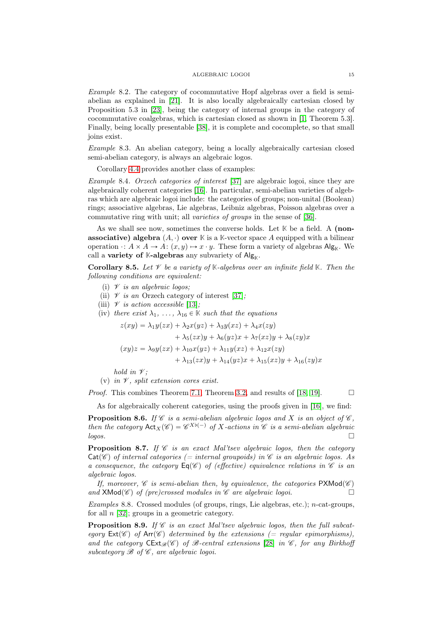Example 8.2. The category of cocommutative Hopf algebras over a field is semiabelian as explained in [\[21\]](#page-16-12). It is also locally algebraically cartesian closed by Proposition 5.3 in [\[23\]](#page-16-8), being the category of internal groups in the category of cocommutative coalgebras, which is cartesian closed as shown in [\[1,](#page-15-14) Theorem 5.3]. Finally, being locally presentable [\[38\]](#page-16-13), it is complete and cocomplete, so that small joins exist.

Example 8.3. An abelian category, being a locally algebraically cartesian closed semi-abelian category, is always an algebraic logos.

Corollary [4.4](#page-7-2) provides another class of examples:

Example 8.4. Orzech categories of interest [\[37\]](#page-16-14) are algebraic logoi, since they are algebraically coherent categories [\[16\]](#page-15-1). In particular, semi-abelian varieties of algebras which are algebraic logoi include: the categories of groups; non-unital (Boolean) rings; associative algebras, Lie algebras, Leibniz algebras, Poisson algebras over a commutative ring with unit; all varieties of groups in the sense of [\[36\]](#page-16-15).

As we shall see now, sometimes the converse holds. Let **K** be a field. A (non**associative) algebra**  $(A, \cdot)$  over K is a K-vector space A equipped with a bilinear operation  $\cdot: A \times A \to A: (x, y) \mapsto x \cdot y$ . These form a variety of algebras Alg<sub>K</sub>. We call a **variety of K-algebras** any subvariety of  $Alg_{\mathbb{K}}$ .

**Corollary 8.5.** Let  $\mathscr V$  be a variety of  $\mathbb K$ -algebras over an infinite field  $\mathbb K$ . Then the following conditions are equivalent:

- (i)  $\mathscr V$  is an algebraic logos;
- (ii)  $\mathscr V$  is an Orzech category of interest [\[37\]](#page-16-14);
- (iii)  $\mathscr V$  is action accessible [\[13\]](#page-15-15);
- (iv) there exist  $\lambda_1, \ldots, \lambda_{16} \in \mathbb{K}$  such that the equations

$$
z(xy) = \lambda_1 y(zx) + \lambda_2 x(yz) + \lambda_3 y(xz) + \lambda_4 x(zy)
$$
  
+ 
$$
\lambda_5 (zx)y + \lambda_6 (yz)x + \lambda_7 (xz)y + \lambda_8 (zy)x
$$
  

$$
(xy)z = \lambda_9 y(zx) + \lambda_{10} x(yz) + \lambda_{11} y(xz) + \lambda_{12} x(zy)
$$
  
+ 
$$
\lambda_{13} (zx)y + \lambda_{14} (yz)x + \lambda_{15} (xz)y + \lambda_{16} (zy)x
$$

hold in  $\mathscr V$ ;

(v) in  $\mathscr V$ , split extension cores exist.

*Proof.* This combines Theorem [7.1,](#page-11-0) Theorem [3.2,](#page-4-0) and results of [\[18,](#page-15-16) [19\]](#page-16-16).  $\Box$ 

As for algebraically coherent categories, using the proofs given in [\[16\]](#page-15-1), we find:

**Proposition 8.6.** If C is a semi-abelian algebraic logos and X is an object of  $\mathcal{C}$ , then the category  $\text{Act}_X(\mathscr{C}) = \mathscr{C}^{X\flat(-)}$  of X-actions in  $\mathscr{C}$  is a semi-abelian algebraic  $\log$ os.

<span id="page-14-0"></span>**Proposition 8.7.** If  $\mathscr C$  is an exact Mal'tsev algebraic logos, then the category  $Cat(\mathscr{C})$  of internal categories (= internal groupoids) in  $\mathscr{C}$  is an algebraic logos. As a consequence, the category  $\text{Eq}(\mathscr{C})$  of (effective) equivalence relations in  $\mathscr{C}$  is an algebraic logos.

If, moreover,  $\mathscr C$  is semi-abelian then, by equivalence, the categories PXMod $(\mathscr C)$ and  $\mathsf{XMod}(\mathscr{C})$  of (pre)crossed modules in  $\mathscr{C}$  are algebraic logoi.

Examples 8.8. Crossed modules (of groups, rings, Lie algebras, etc.);  $n$ -cat-groups, for all  $n$  [\[32\]](#page-16-17); groups in a geometric category.

**Proposition 8.9.** If  $\mathscr C$  is an exact Mal'tsev algebraic logos, then the full subcategory  $Ext(\mathscr{C})$  of Arr $(\mathscr{C})$  determined by the extensions (= regular epimorphisms), and the category  $\text{CExt}_{\mathcal{B}}(\mathscr{C})$  of B-central extensions [\[28\]](#page-16-18) in  $\mathscr{C}$ , for any Birkhoff subcategory  $\mathscr B$  of  $\mathscr C$ , are algebraic logoi.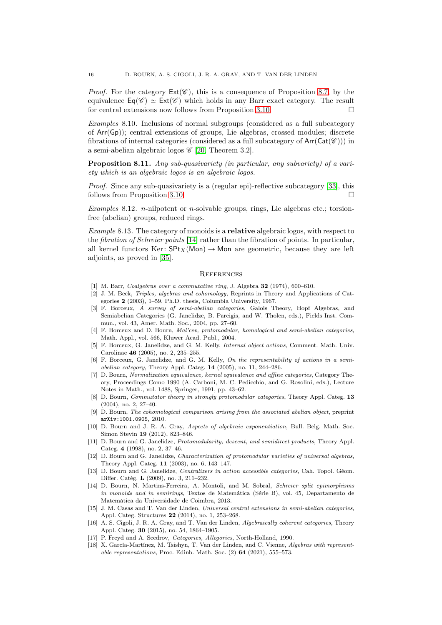*Proof.* For the category  $Ext(\mathscr{C})$ , this is a consequence of Proposition [8.7,](#page-14-0) by the equivalence  $\mathsf{Eq}(\mathscr{C}) \simeq \mathsf{Ext}(\mathscr{C})$  which holds in any Barr exact category. The result for central extensions now follows from Proposition [3.10.](#page-4-4)

Examples 8.10. Inclusions of normal subgroups (considered as a full subcategory of  $Arr(Gp)$ ; central extensions of groups, Lie algebras, crossed modules; discrete fibrations of internal categories (considered as a full subcategory of  $Arr(Cat(\mathscr{C}))$ ) in a semi-abelian algebraic logos  $\mathscr{C}$  [\[20,](#page-16-19) Theorem 3.2].

Proposition 8.11. Any sub-quasivariety (in particular, any subvariety) of a variety which is an algebraic logos is an algebraic logos.

*Proof.* Since any sub-quasivariety is a (regular epi)-reflective subcategory [\[33\]](#page-16-20), this follows from Proposition [3.10.](#page-4-4)

Examples 8.12. *n*-nilpotent or *n*-solvable groups, rings, Lie algebras etc.; torsionfree (abelian) groups, reduced rings.

Example 8.13. The category of monoids is a **relative** algebraic logos, with respect to the fibration of Schreier points [\[14\]](#page-15-17) rather than the fibration of points. In particular, all kernel functors Ker:  $SPt_X(Mon) \rightarrow Mon$  are geometric, because they are left adjoints, as proved in [\[35\]](#page-16-21).

#### **REFERENCES**

- <span id="page-15-14"></span><span id="page-15-2"></span>[1] M. Barr, Coalgebras over a commutative ring, J. Algebra 32 (1974), 600–610.
- [2] J. M. Beck, Triples, algebras and cohomology, Reprints in Theory and Applications of Categories 2 (2003), 1–59, Ph.D. thesis, Columbia University, 1967.
- <span id="page-15-9"></span>[3] F. Borceux, A survey of semi-abelian categories, Galois Theory, Hopf Algebras, and Semiabelian Categories (G. Janelidze, B. Pareigis, and W. Tholen, eds.), Fields Inst. Commun., vol. 43, Amer. Math. Soc., 2004, pp. 27–60.
- <span id="page-15-4"></span>[4] F. Borceux and D. Bourn, Mal'cev, protomodular, homological and semi-abelian categories, Math. Appl., vol. 566, Kluwer Acad. Publ., 2004.
- <span id="page-15-7"></span>[5] F. Borceux, G. Janelidze, and G. M. Kelly, Internal object actions, Comment. Math. Univ. Carolinae 46 (2005), no. 2, 235–255.
- <span id="page-15-8"></span>[6] F. Borceux, G. Janelidze, and G. M. Kelly, On the representability of actions in a semiabelian category, Theory Appl. Categ. 14 (2005), no. 11, 244–286.
- <span id="page-15-3"></span>[7] D. Bourn, Normalization equivalence, kernel equivalence and affine categories, Category Theory, Proceedings Como 1990 (A. Carboni, M. C. Pedicchio, and G. Rosolini, eds.), Lecture Notes in Math., vol. 1488, Springer, 1991, pp. 43–62.
- <span id="page-15-13"></span>[8] D. Bourn, *Commutator theory in strongly protomodular categories*, Theory Appl. Categ. 13 (2004), no. 2, 27–40.
- <span id="page-15-11"></span>[9] D. Bourn, The cohomological comparison arising from the associated abelian object, preprint arXiv:1001.0905, 2010.
- <span id="page-15-10"></span>[10] D. Bourn and J. R. A. Gray, Aspects of algebraic exponentiation, Bull. Belg. Math. Soc. Simon Stevin 19 (2012), 823–846.
- <span id="page-15-6"></span>[11] D. Bourn and G. Janelidze, Protomodularity, descent, and semidirect products, Theory Appl. Categ. 4 (1998), no. 2, 37–46.
- <span id="page-15-5"></span>[12] D. Bourn and G. Janelidze, *Characterization of protomodular varieties of universal algebras*, Theory Appl. Categ. 11 (2003), no. 6, 143–147.
- <span id="page-15-15"></span>[13] D. Bourn and G. Janelidze, Centralizers in action accessible categories, Cah. Topol. Géom. Differ. Catég. L (2009), no. 3, 211–232.
- <span id="page-15-17"></span>[14] D. Bourn, N. Martins-Ferreira, A. Montoli, and M. Sobral, Schreier split epimorphisms in monoids and in semirings, Textos de Matemática (Série B), vol. 45, Departamento de Matemática da Universidade de Coimbra, 2013.
- <span id="page-15-12"></span>[15] J. M. Casas and T. Van der Linden, Universal central extensions in semi-abelian categories, Appl. Categ. Structures 22 (2014), no. 1, 253–268.
- <span id="page-15-1"></span>[16] A. S. Cigoli, J. R. A. Gray, and T. Van der Linden, Algebraically coherent categories, Theory Appl. Categ. 30 (2015), no. 54, 1864–1905.
- <span id="page-15-16"></span><span id="page-15-0"></span>[17] P. Freyd and A. Scedrov, *Categories*, *Allegories*, North-Holland, 1990.
- [18] X. García-Martínez, M. Tsishyn, T. Van der Linden, and C. Vienne, Algebras with representable representations, Proc. Edinb. Math. Soc.  $(2)$  64  $(2021)$ , 555–573.